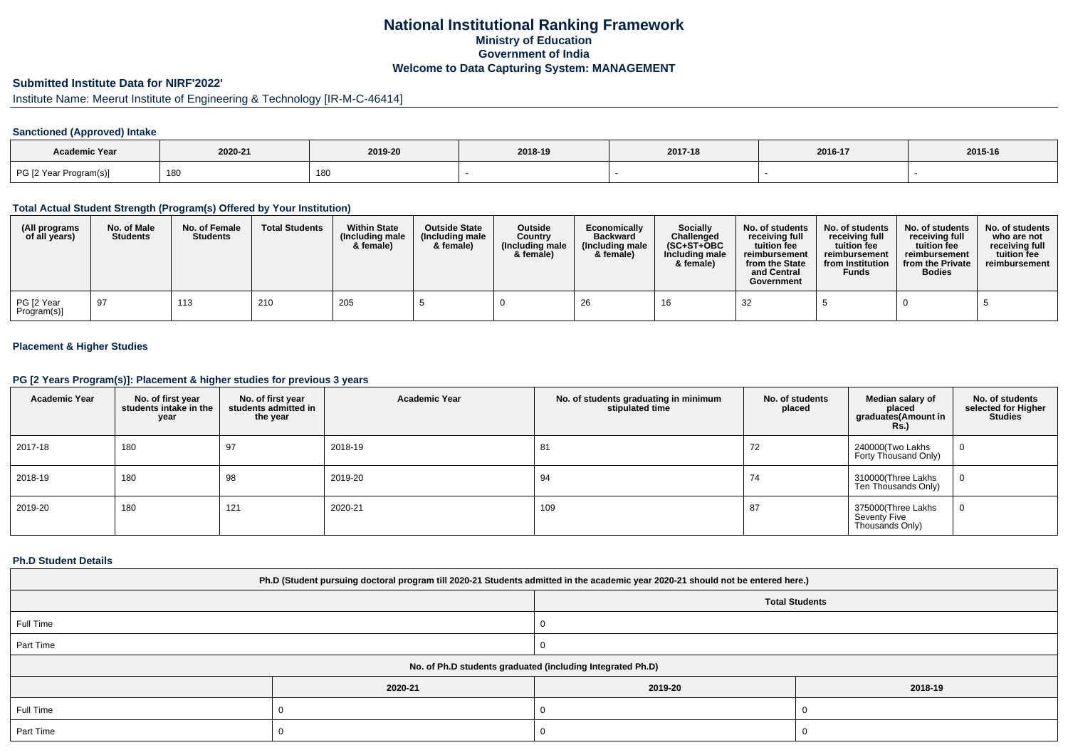## **National Institutional Ranking FrameworkMinistry of Education Government of IndiaWelcome to Data Capturing System: MANAGEMENT**

# **Submitted Institute Data for NIRF'2022'**

# Institute Name: Meerut Institute of Engineering & Technology [IR-M-C-46414]

## **Sanctioned (Approved) Intake**

| Academic Year          |         |         |         |         |         |         |
|------------------------|---------|---------|---------|---------|---------|---------|
|                        | 2020-21 | 2019-20 | 2018-19 | 2017-18 | 2016-17 | 2015-16 |
| PG [2 Year Program(s)] | 180     | 180     |         |         |         |         |

#### **Total Actual Student Strength (Program(s) Offered by Your Institution)**

| (All programs<br>of all years) | No. of Male<br><b>Students</b> | No. of Female<br><b>Students</b> | <b>Total Students</b> | <b>Within State</b><br>(Including male<br>& female) | <b>Outside State</b><br>(Including male<br>& female) | Outside<br>Country<br>(Including male<br>& female) | Economically<br><b>Backward</b><br>(Including male<br>& female) | <b>Socially</b><br>Challenged<br>$(SC+ST+OBC$<br>Including male<br>& female) | No. of students<br>receivina full<br>tuition fee<br>reimbursement<br>from the State<br>and Central<br>Government | No. of students<br>receiving full<br>tuition fee<br>reimbursement<br>from Institution<br><b>Funds</b> | No. of students<br>receiving full<br>tuition fee<br>reimbursement<br>from the Private<br><b>Bodies</b> | No. of students  <br>who are not<br>receivina full<br>tuition fee<br>reimbursement |
|--------------------------------|--------------------------------|----------------------------------|-----------------------|-----------------------------------------------------|------------------------------------------------------|----------------------------------------------------|-----------------------------------------------------------------|------------------------------------------------------------------------------|------------------------------------------------------------------------------------------------------------------|-------------------------------------------------------------------------------------------------------|--------------------------------------------------------------------------------------------------------|------------------------------------------------------------------------------------|
| PG [2 Year<br>Program(s)]      | -97                            | 113                              | 210                   | 205                                                 |                                                      |                                                    | -26                                                             |                                                                              | 32                                                                                                               |                                                                                                       |                                                                                                        |                                                                                    |

## **Placement & Higher Studies**

#### **PG [2 Years Program(s)]: Placement & higher studies for previous 3 years**

| <b>Academic Year</b> | No. of first year<br>students intake in the<br>year | No. of first year<br>students admitted in<br>the year | <b>Academic Year</b> | No. of students graduating in minimum<br>stipulated time | No. of students<br>placed | Median salary of<br>placed<br>graduates(Amount in<br><b>Rs.)</b> | No. of students<br>selected for Higher<br><b>Studies</b> |
|----------------------|-----------------------------------------------------|-------------------------------------------------------|----------------------|----------------------------------------------------------|---------------------------|------------------------------------------------------------------|----------------------------------------------------------|
| 2017-18              | 180                                                 | 97                                                    | 2018-19              | 81                                                       | 72                        | 240000(Two Lakhs<br>Forty Thousand Only)                         | $\mathbf 0$                                              |
| 2018-19              | 180                                                 | 98                                                    | 2019-20              | 94                                                       | 74                        | 310000(Three Lakhs<br>Ten Thousands Only)                        | 0                                                        |
| 2019-20              | 180                                                 | 121                                                   | 2020-21              | 109                                                      | 87                        | 375000(Three Lakhs<br>Seventy Five<br>Thousands Only)            | 0                                                        |

#### **Ph.D Student Details**

| Ph.D (Student pursuing doctoral program till 2020-21 Students admitted in the academic year 2020-21 should not be entered here.) |         |                                                            |         |  |  |  |  |
|----------------------------------------------------------------------------------------------------------------------------------|---------|------------------------------------------------------------|---------|--|--|--|--|
| <b>Total Students</b>                                                                                                            |         |                                                            |         |  |  |  |  |
| Full Time                                                                                                                        |         |                                                            |         |  |  |  |  |
| Part Time                                                                                                                        |         |                                                            |         |  |  |  |  |
|                                                                                                                                  |         | No. of Ph.D students graduated (including Integrated Ph.D) |         |  |  |  |  |
|                                                                                                                                  | 2020-21 | 2019-20                                                    | 2018-19 |  |  |  |  |
| Full Time                                                                                                                        |         |                                                            |         |  |  |  |  |
| Part Time                                                                                                                        |         |                                                            |         |  |  |  |  |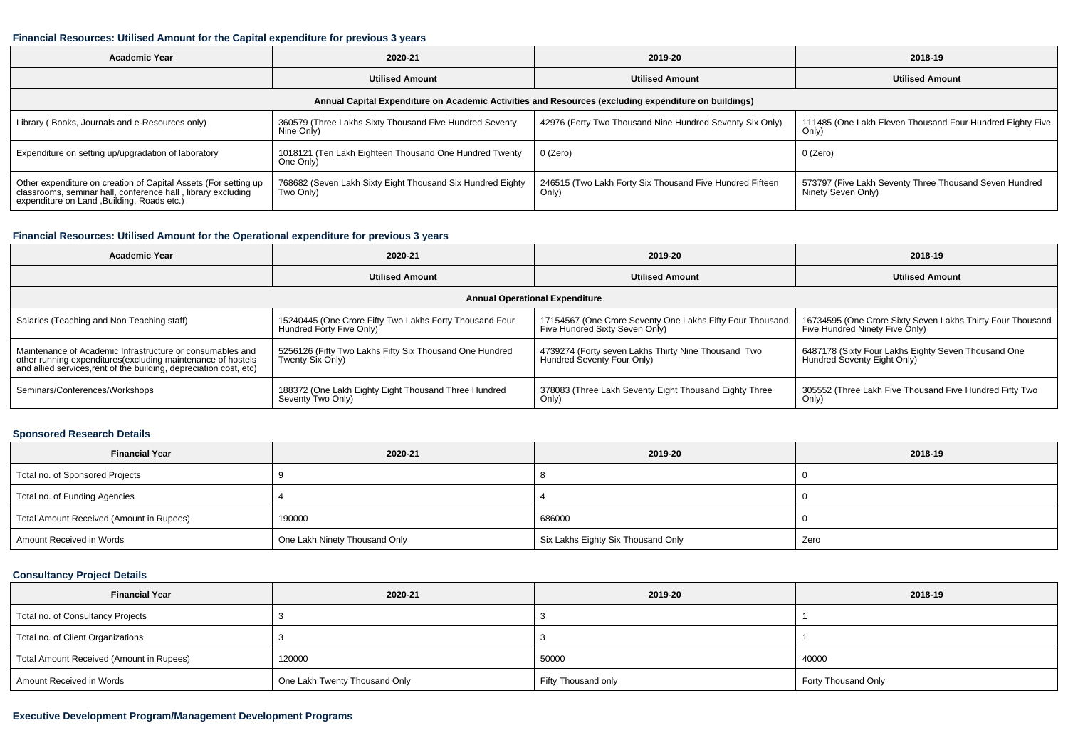#### **Financial Resources: Utilised Amount for the Capital expenditure for previous 3 years**

| <b>Academic Year</b>                                                                                                                                                           | 2020-21                                                                 | 2019-20                                                           | 2018-19                                                                      |  |  |  |  |  |  |
|--------------------------------------------------------------------------------------------------------------------------------------------------------------------------------|-------------------------------------------------------------------------|-------------------------------------------------------------------|------------------------------------------------------------------------------|--|--|--|--|--|--|
|                                                                                                                                                                                | <b>Utilised Amount</b>                                                  | <b>Utilised Amount</b>                                            | <b>Utilised Amount</b>                                                       |  |  |  |  |  |  |
| Annual Capital Expenditure on Academic Activities and Resources (excluding expenditure on buildings)                                                                           |                                                                         |                                                                   |                                                                              |  |  |  |  |  |  |
| Library (Books, Journals and e-Resources only)                                                                                                                                 | 360579 (Three Lakhs Sixty Thousand Five Hundred Seventy<br>Nine Only)   | 42976 (Forty Two Thousand Nine Hundred Seventy Six Only)          | 111485 (One Lakh Eleven Thousand Four Hundred Eighty Five<br>Only)           |  |  |  |  |  |  |
| Expenditure on setting up/upgradation of laboratory                                                                                                                            | 1018121 (Ten Lakh Eighteen Thousand One Hundred Twenty<br>One Only)     | 0 (Zero)                                                          | 0 (Zero)                                                                     |  |  |  |  |  |  |
| Other expenditure on creation of Capital Assets (For setting up<br>classrooms, seminar hall, conference hall, library excluding<br>expenditure on Land , Building, Roads etc.) | 768682 (Seven Lakh Sixty Eight Thousand Six Hundred Eighty<br>Two Only) | 246515 (Two Lakh Forty Six Thousand Five Hundred Fifteen<br>Only) | 573797 (Five Lakh Seventy Three Thousand Seven Hundred<br>Ninety Seven Only) |  |  |  |  |  |  |

## **Financial Resources: Utilised Amount for the Operational expenditure for previous 3 years**

| <b>Academic Year</b><br>2020-21                                                                                                   |                                                         | 2019-20                                                   | 2018-19                                                    |  |  |  |  |  |  |
|-----------------------------------------------------------------------------------------------------------------------------------|---------------------------------------------------------|-----------------------------------------------------------|------------------------------------------------------------|--|--|--|--|--|--|
| <b>Utilised Amount</b>                                                                                                            |                                                         | <b>Utilised Amount</b>                                    | <b>Utilised Amount</b>                                     |  |  |  |  |  |  |
| <b>Annual Operational Expenditure</b>                                                                                             |                                                         |                                                           |                                                            |  |  |  |  |  |  |
| Salaries (Teaching and Non Teaching staff)                                                                                        | 15240445 (One Crore Fifty Two Lakhs Forty Thousand Four | 17154567 (One Crore Seventy One Lakhs Fifty Four Thousand | 16734595 (One Crore Sixty Seven Lakhs Thirty Four Thousand |  |  |  |  |  |  |
|                                                                                                                                   | Hundred Forty Five Only)                                | Five Hundred Sixty Seven Only)                            | Five Hundred Ninety Five Only)                             |  |  |  |  |  |  |
| Maintenance of Academic Infrastructure or consumables and                                                                         | 5256126 (Fifty Two Lakhs Fifty Six Thousand One Hundred | 4739274 (Forty seven Lakhs Thirty Nine Thousand Two       | 6487178 (Sixty Four Lakhs Eighty Seven Thousand One        |  |  |  |  |  |  |
| other running expenditures(excluding maintenance of hostels<br>and allied services, rent of the building, depreciation cost, etc) | Twenty Six Only)                                        | Hundred Seventy Four Only)                                | Hundred Seventy Eight Only)                                |  |  |  |  |  |  |
| Seminars/Conferences/Workshops                                                                                                    | 188372 (One Lakh Eighty Eight Thousand Three Hundred    | 378083 (Three Lakh Seventy Eight Thousand Eighty Three    | 305552 (Three Lakh Five Thousand Five Hundred Fifty Two    |  |  |  |  |  |  |
|                                                                                                                                   | Seventy Two Only)                                       | Only)                                                     | Only)                                                      |  |  |  |  |  |  |

### **Sponsored Research Details**

| <b>Financial Year</b>                    | 2020-21                                    | 2019-20                            | 2018-19 |
|------------------------------------------|--------------------------------------------|------------------------------------|---------|
| Total no. of Sponsored Projects          |                                            |                                    |         |
| Total no. of Funding Agencies            |                                            |                                    |         |
| Total Amount Received (Amount in Rupees) | 190000                                     | 686000                             |         |
| Amount Received in Words                 | <sup>1</sup> One Lakh Ninety Thousand Only | Six Lakhs Eighty Six Thousand Only | Zero    |

## **Consultancy Project Details**

| <b>Financial Year</b>                    | 2020-21                       | 2019-20             | 2018-19             |
|------------------------------------------|-------------------------------|---------------------|---------------------|
| Total no. of Consultancy Projects        |                               |                     |                     |
| Total no. of Client Organizations        |                               |                     |                     |
| Total Amount Received (Amount in Rupees) | 120000                        | 50000               | 40000               |
| Amount Received in Words                 | One Lakh Twenty Thousand Only | Fifty Thousand only | Forty Thousand Only |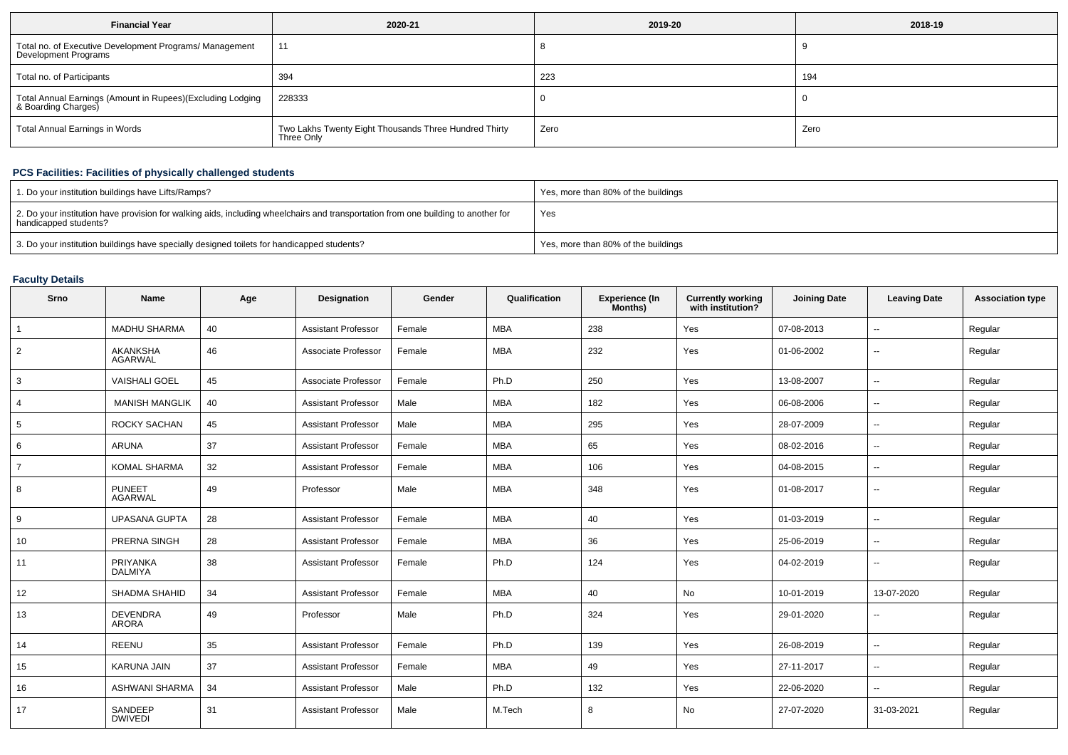| <b>Financial Year</b>                                                             | 2020-21                                                             | 2019-20 | 2018-19 |
|-----------------------------------------------------------------------------------|---------------------------------------------------------------------|---------|---------|
| Total no. of Executive Development Programs/ Management<br>Development Programs   | 11                                                                  |         |         |
| Total no. of Participants                                                         | 394                                                                 | 223     | 194     |
| Total Annual Earnings (Amount in Rupees)(Excluding Lodging<br>& Boarding Charges) | 228333                                                              |         |         |
| <b>Total Annual Earnings in Words</b>                                             | Two Lakhs Twenty Eight Thousands Three Hundred Thirty<br>Three Only | Zero    | Zero    |

# **PCS Facilities: Facilities of physically challenged students**

| 1. Do your institution buildings have Lifts/Ramps?                                                                                                         | Yes, more than 80% of the buildings |
|------------------------------------------------------------------------------------------------------------------------------------------------------------|-------------------------------------|
| 2. Do your institution have provision for walking aids, including wheelchairs and transportation from one building to another for<br>handicapped students? | Yes                                 |
| 3. Do your institution buildings have specially designed toilets for handicapped students?                                                                 | Yes, more than 80% of the buildings |

## **Faculty Details**

| Srno           | Name                            | Age | Designation                | Gender | Qualification | Experience (In<br>Months) | <b>Currently working</b><br>with institution? | <b>Joining Date</b> | <b>Leaving Date</b>      | <b>Association type</b> |
|----------------|---------------------------------|-----|----------------------------|--------|---------------|---------------------------|-----------------------------------------------|---------------------|--------------------------|-------------------------|
| $\overline{1}$ | <b>MADHU SHARMA</b>             | 40  | <b>Assistant Professor</b> | Female | <b>MBA</b>    | 238                       | Yes                                           | 07-08-2013          | $-$                      | Regular                 |
| $\overline{2}$ | AKANKSHA<br><b>AGARWAL</b>      | 46  | Associate Professor        | Female | <b>MBA</b>    | 232                       | Yes                                           | 01-06-2002          | $\overline{\phantom{a}}$ | Regular                 |
| 3              | <b>VAISHALI GOEL</b>            | 45  | Associate Professor        | Female | Ph.D          | 250                       | Yes                                           | 13-08-2007          | $\mathbf{u}$             | Regular                 |
| $\overline{4}$ | <b>MANISH MANGLIK</b>           | 40  | <b>Assistant Professor</b> | Male   | MBA           | 182                       | Yes                                           | 06-08-2006          | −−                       | Regular                 |
| 5              | ROCKY SACHAN                    | 45  | <b>Assistant Professor</b> | Male   | <b>MBA</b>    | 295                       | Yes                                           | 28-07-2009          | $\overline{\phantom{a}}$ | Regular                 |
| 6              | ARUNA                           | 37  | <b>Assistant Professor</b> | Female | MBA           | 65                        | Yes                                           | 08-02-2016          | $\overline{\phantom{a}}$ | Regular                 |
| $\overline{7}$ | <b>KOMAL SHARMA</b>             | 32  | <b>Assistant Professor</b> | Female | MBA           | 106                       | Yes                                           | 04-08-2015          | ۰.                       | Regular                 |
| 8              | <b>PUNEET</b><br><b>AGARWAL</b> | 49  | Professor                  | Male   | <b>MBA</b>    | 348                       | Yes                                           | 01-08-2017          | $\sim$                   | Regular                 |
| 9              | <b>UPASANA GUPTA</b>            | 28  | <b>Assistant Professor</b> | Female | MBA           | 40                        | Yes                                           | 01-03-2019          | $\overline{\phantom{a}}$ | Regular                 |
| 10             | PRERNA SINGH                    | 28  | <b>Assistant Professor</b> | Female | <b>MBA</b>    | 36                        | Yes                                           | 25-06-2019          | ۰.                       | Regular                 |
| 11             | PRIYANKA<br><b>DALMIYA</b>      | 38  | <b>Assistant Professor</b> | Female | Ph.D          | 124                       | Yes                                           | 04-02-2019          | ۰.                       | Regular                 |
| 12             | <b>SHADMA SHAHID</b>            | 34  | <b>Assistant Professor</b> | Female | MBA           | 40                        | No                                            | 10-01-2019          | 13-07-2020               | Regular                 |
| 13             | <b>DEVENDRA</b><br><b>ARORA</b> | 49  | Professor                  | Male   | Ph.D          | 324                       | Yes                                           | 29-01-2020          | ۰.                       | Regular                 |
| 14             | <b>REENU</b>                    | 35  | <b>Assistant Professor</b> | Female | Ph.D          | 139                       | Yes                                           | 26-08-2019          | $\sim$                   | Regular                 |
| 15             | KARUNA JAIN                     | 37  | <b>Assistant Professor</b> | Female | <b>MBA</b>    | 49                        | Yes                                           | 27-11-2017          | $-$                      | Regular                 |
| 16             | ASHWANI SHARMA                  | 34  | <b>Assistant Professor</b> | Male   | Ph.D          | 132                       | Yes                                           | 22-06-2020          | $\overline{a}$           | Regular                 |
| 17             | SANDEEP<br><b>DWIVEDI</b>       | 31  | <b>Assistant Professor</b> | Male   | M.Tech        | 8                         | No                                            | 27-07-2020          | 31-03-2021               | Regular                 |